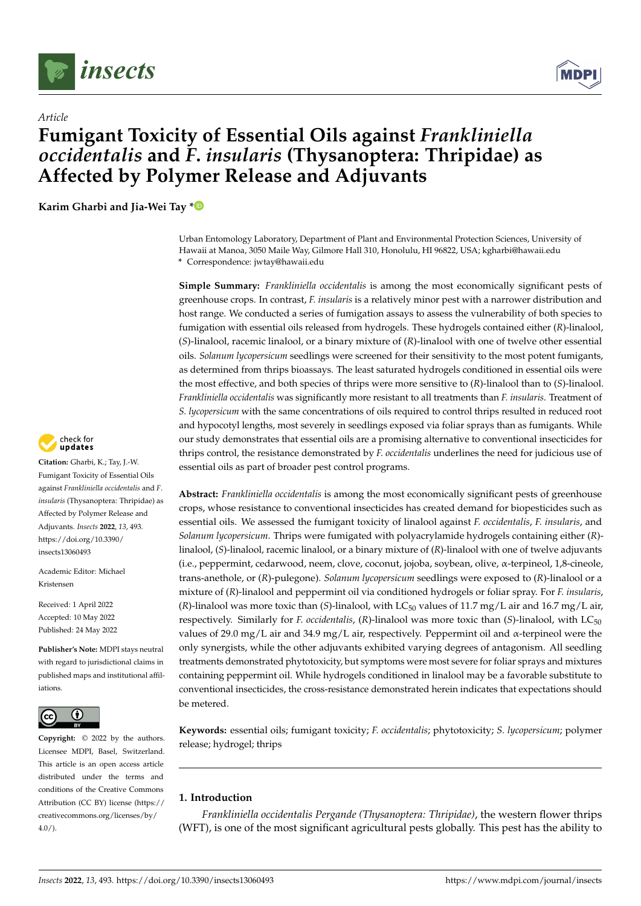

*Article*



# **Fumigant Toxicity of Essential Oils against** *Frankliniella occidentalis* **and** *F***.** *insularis* **(Thysanoptera: Thripidae) as Affected by Polymer Release and Adjuvants**

**Karim Gharbi and Jia-Wei Tay [\\*](https://orcid.org/0000-0002-0997-5416)**

Urban Entomology Laboratory, Department of Plant and Environmental Protection Sciences, University of Hawaii at Manoa, 3050 Maile Way, Gilmore Hall 310, Honolulu, HI 96822, USA; kgharbi@hawaii.edu **\*** Correspondence: jwtay@hawaii.edu

**Simple Summary:** *Frankliniella occidentalis* is among the most economically significant pests of greenhouse crops. In contrast, *F. insularis* is a relatively minor pest with a narrower distribution and host range. We conducted a series of fumigation assays to assess the vulnerability of both species to fumigation with essential oils released from hydrogels. These hydrogels contained either (*R*)-linalool, (*S*)-linalool, racemic linalool, or a binary mixture of (*R*)-linalool with one of twelve other essential oils. *Solanum lycopersicum* seedlings were screened for their sensitivity to the most potent fumigants, as determined from thrips bioassays. The least saturated hydrogels conditioned in essential oils were the most effective, and both species of thrips were more sensitive to (*R*)-linalool than to (*S*)-linalool. *Frankliniella occidentalis* was significantly more resistant to all treatments than *F. insularis*. Treatment of *S. lycopersicum* with the same concentrations of oils required to control thrips resulted in reduced root and hypocotyl lengths, most severely in seedlings exposed via foliar sprays than as fumigants. While our study demonstrates that essential oils are a promising alternative to conventional insecticides for thrips control, the resistance demonstrated by *F. occidentalis* underlines the need for judicious use of essential oils as part of broader pest control programs.

**Abstract:** *Frankliniella occidentalis* is among the most economically significant pests of greenhouse crops, whose resistance to conventional insecticides has created demand for biopesticides such as essential oils. We assessed the fumigant toxicity of linalool against *F. occidentalis*, *F. insularis*, and *Solanum lycopersicum*. Thrips were fumigated with polyacrylamide hydrogels containing either (*R*) linalool, (*S*)-linalool, racemic linalool, or a binary mixture of (*R*)-linalool with one of twelve adjuvants (i.e., peppermint, cedarwood, neem, clove, coconut, jojoba, soybean, olive, α-terpineol, 1,8-cineole, trans-anethole, or (*R*)-pulegone). *Solanum lycopersicum* seedlings were exposed to (*R*)-linalool or a mixture of (*R*)-linalool and peppermint oil via conditioned hydrogels or foliar spray. For *F. insularis*,  $(R)$ -linalool was more toxic than  $(S)$ -linalool, with LC<sub>50</sub> values of 11.7 mg/L air and 16.7 mg/L air, respectively. Similarly for *F. occidentalis*, (*R*)-linalool was more toxic than (*S*)-linalool, with LC<sub>50</sub> values of 29.0 mg/L air and 34.9 mg/L air, respectively. Peppermint oil and  $\alpha$ -terpineol were the only synergists, while the other adjuvants exhibited varying degrees of antagonism. All seedling treatments demonstrated phytotoxicity, but symptoms were most severe for foliar sprays and mixtures containing peppermint oil. While hydrogels conditioned in linalool may be a favorable substitute to conventional insecticides, the cross-resistance demonstrated herein indicates that expectations should be metered.

**Keywords:** essential oils; fumigant toxicity; *F. occidentalis*; phytotoxicity; *S. lycopersicum*; polymer release; hydrogel; thrips

# **1. Introduction**

*Frankliniella occidentalis Pergande (Thysanoptera: Thripidae)*, the western flower thrips (WFT), is one of the most significant agricultural pests globally. This pest has the ability to



**Citation:** Gharbi, K.; Tay, J.-W. Fumigant Toxicity of Essential Oils against *Frankliniella occidentalis* and *F*. *insularis* (Thysanoptera: Thripidae) as Affected by Polymer Release and Adjuvants. *Insects* **2022**, *13*, 493. [https://doi.org/10.3390/](https://doi.org/10.3390/insects13060493) [insects13060493](https://doi.org/10.3390/insects13060493)

Academic Editor: Michael Kristensen

Received: 1 April 2022 Accepted: 10 May 2022 Published: 24 May 2022

**Publisher's Note:** MDPI stays neutral with regard to jurisdictional claims in published maps and institutional affiliations.



**Copyright:** © 2022 by the authors. Licensee MDPI, Basel, Switzerland. This article is an open access article distributed under the terms and conditions of the Creative Commons Attribution (CC BY) license [\(https://](https://creativecommons.org/licenses/by/4.0/) [creativecommons.org/licenses/by/](https://creativecommons.org/licenses/by/4.0/)  $4.0/$ ).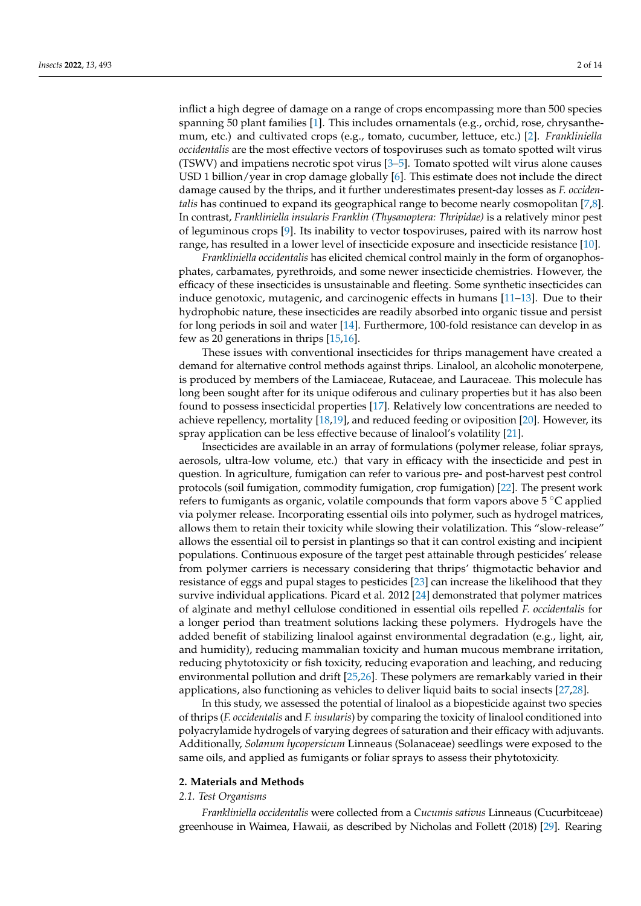inflict a high degree of damage on a range of crops encompassing more than 500 species spanning 50 plant families [\[1\]](#page-10-0). This includes ornamentals (e.g., orchid, rose, chrysanthemum, etc.) and cultivated crops (e.g., tomato, cucumber, lettuce, etc.) [\[2\]](#page-10-1). *Frankliniella occidentalis* are the most effective vectors of tospoviruses such as tomato spotted wilt virus (TSWV) and impatiens necrotic spot virus [\[3](#page-10-2)[–5\]](#page-10-3). Tomato spotted wilt virus alone causes USD 1 billion/year in crop damage globally [\[6\]](#page-10-4). This estimate does not include the direct damage caused by the thrips, and it further underestimates present-day losses as *F. occidentalis* has continued to expand its geographical range to become nearly cosmopolitan [\[7,](#page-10-5)[8\]](#page-10-6). In contrast, *Frankliniella insularis Franklin (Thysanoptera: Thripidae)* is a relatively minor pest of leguminous crops [\[9\]](#page-10-7). Its inability to vector tospoviruses, paired with its narrow host range, has resulted in a lower level of insecticide exposure and insecticide resistance [\[10\]](#page-10-8).

*Frankliniella occidentalis* has elicited chemical control mainly in the form of organophosphates, carbamates, pyrethroids, and some newer insecticide chemistries. However, the efficacy of these insecticides is unsustainable and fleeting. Some synthetic insecticides can induce genotoxic, mutagenic, and carcinogenic effects in humans [\[11–](#page-11-0)[13\]](#page-11-1). Due to their hydrophobic nature, these insecticides are readily absorbed into organic tissue and persist for long periods in soil and water [\[14\]](#page-11-2). Furthermore, 100-fold resistance can develop in as few as 20 generations in thrips [\[15](#page-11-3)[,16\]](#page-11-4).

These issues with conventional insecticides for thrips management have created a demand for alternative control methods against thrips. Linalool, an alcoholic monoterpene, is produced by members of the Lamiaceae, Rutaceae, and Lauraceae. This molecule has long been sought after for its unique odiferous and culinary properties but it has also been found to possess insecticidal properties [\[17\]](#page-11-5). Relatively low concentrations are needed to achieve repellency, mortality [\[18](#page-11-6)[,19\]](#page-11-7), and reduced feeding or oviposition [\[20\]](#page-11-8). However, its spray application can be less effective because of linalool's volatility [\[21\]](#page-11-9).

Insecticides are available in an array of formulations (polymer release, foliar sprays, aerosols, ultra-low volume, etc.) that vary in efficacy with the insecticide and pest in question. In agriculture, fumigation can refer to various pre- and post-harvest pest control protocols (soil fumigation, commodity fumigation, crop fumigation) [\[22\]](#page-11-10). The present work refers to fumigants as organic, volatile compounds that form vapors above 5 ◦C applied via polymer release. Incorporating essential oils into polymer, such as hydrogel matrices, allows them to retain their toxicity while slowing their volatilization. This "slow-release" allows the essential oil to persist in plantings so that it can control existing and incipient populations. Continuous exposure of the target pest attainable through pesticides' release from polymer carriers is necessary considering that thrips' thigmotactic behavior and resistance of eggs and pupal stages to pesticides [\[23\]](#page-11-11) can increase the likelihood that they survive individual applications. Picard et al. 2012 [\[24\]](#page-11-12) demonstrated that polymer matrices of alginate and methyl cellulose conditioned in essential oils repelled *F. occidentalis* for a longer period than treatment solutions lacking these polymers. Hydrogels have the added benefit of stabilizing linalool against environmental degradation (e.g., light, air, and humidity), reducing mammalian toxicity and human mucous membrane irritation, reducing phytotoxicity or fish toxicity, reducing evaporation and leaching, and reducing environmental pollution and drift [\[25](#page-11-13)[,26\]](#page-11-14). These polymers are remarkably varied in their applications, also functioning as vehicles to deliver liquid baits to social insects [\[27,](#page-11-15)[28\]](#page-11-16).

In this study, we assessed the potential of linalool as a biopesticide against two species of thrips (*F. occidentalis* and *F. insularis*) by comparing the toxicity of linalool conditioned into polyacrylamide hydrogels of varying degrees of saturation and their efficacy with adjuvants. Additionally, *Solanum lycopersicum* Linneaus (Solanaceae) seedlings were exposed to the same oils, and applied as fumigants or foliar sprays to assess their phytotoxicity.

## **2. Materials and Methods**

### *2.1. Test Organisms*

*Frankliniella occidentalis* were collected from a *Cucumis sativus* Linneaus (Cucurbitceae) greenhouse in Waimea, Hawaii, as described by Nicholas and Follett (2018) [\[29\]](#page-11-17). Rearing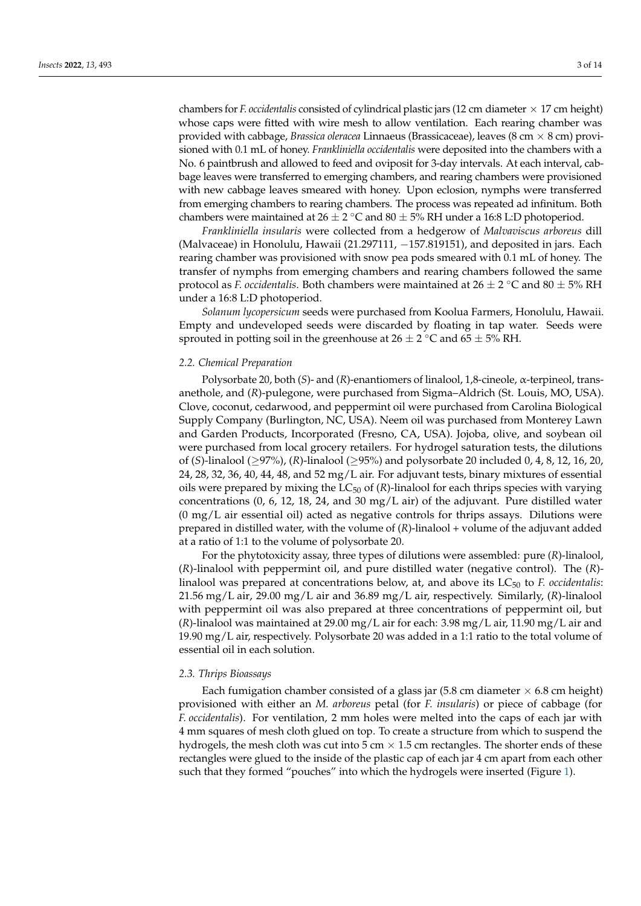chambers for *F. occidentalis* consisted of cylindrical plastic jars (12 cm diameter  $\times$  17 cm height) whose caps were fitted with wire mesh to allow ventilation. Each rearing chamber was provided with cabbage, *Brassica oleracea* Linnaeus (Brassicaceae), leaves (8 cm × 8 cm) provisioned with 0.1 mL of honey. *Frankliniella occidentalis* were deposited into the chambers with a No. 6 paintbrush and allowed to feed and oviposit for 3-day intervals. At each interval, cabbage leaves were transferred to emerging chambers, and rearing chambers were provisioned with new cabbage leaves smeared with honey. Upon eclosion, nymphs were transferred from emerging chambers to rearing chambers. The process was repeated ad infinitum. Both chambers were maintained at 26  $\pm$  2 °C and 80  $\pm$  5% RH under a 16:8 L:D photoperiod.

*Frankliniella insularis* were collected from a hedgerow of *Malvaviscus arboreus* dill (Malvaceae) in Honolulu, Hawaii (21.297111, −157.819151), and deposited in jars. Each rearing chamber was provisioned with snow pea pods smeared with 0.1 mL of honey. The transfer of nymphs from emerging chambers and rearing chambers followed the same protocol as *F. occidentalis*. Both chambers were maintained at 26 ± 2 °C and 80 ± 5% RH under a 16:8 L:D photoperiod.

*Solanum lycopersicum* seeds were purchased from Koolua Farmers, Honolulu, Hawaii. Empty and undeveloped seeds were discarded by floating in tap water. Seeds were sprouted in potting soil in the greenhouse at 26  $\pm$  2  $^{\circ}$ C and 65  $\pm$  5% RH.

#### *2.2. Chemical Preparation*

Polysorbate 20, both (*S*)- and (*R*)-enantiomers of linalool, 1,8-cineole, α-terpineol, transanethole, and (*R*)-pulegone, were purchased from Sigma–Aldrich (St. Louis, MO, USA). Clove, coconut, cedarwood, and peppermint oil were purchased from Carolina Biological Supply Company (Burlington, NC, USA). Neem oil was purchased from Monterey Lawn and Garden Products, Incorporated (Fresno, CA, USA). Jojoba, olive, and soybean oil were purchased from local grocery retailers. For hydrogel saturation tests, the dilutions of (*S*)-linalool (≥97%), (*R*)-linalool (≥95%) and polysorbate 20 included 0, 4, 8, 12, 16, 20, 24, 28, 32, 36, 40, 44, 48, and 52 mg/L air. For adjuvant tests, binary mixtures of essential oils were prepared by mixing the  $LC_{50}$  of  $(R)$ -linalool for each thrips species with varying concentrations (0, 6, 12, 18, 24, and 30 mg/L air) of the adjuvant. Pure distilled water  $(0 \text{ mg/L} \text{ air essential oil})$  acted as negative controls for thrips assays. Dilutions were prepared in distilled water, with the volume of (*R*)-linalool + volume of the adjuvant added at a ratio of 1:1 to the volume of polysorbate 20.

For the phytotoxicity assay, three types of dilutions were assembled: pure (*R*)-linalool, (*R*)-linalool with peppermint oil, and pure distilled water (negative control). The (*R*) linalool was prepared at concentrations below, at, and above its LC<sub>50</sub> to *F. occidentalis*: 21.56 mg/L air, 29.00 mg/L air and 36.89 mg/L air, respectively. Similarly, (*R*)-linalool with peppermint oil was also prepared at three concentrations of peppermint oil, but (*R*)-linalool was maintained at 29.00 mg/L air for each: 3.98 mg/L air, 11.90 mg/L air and 19.90 mg/L air, respectively. Polysorbate 20 was added in a 1:1 ratio to the total volume of essential oil in each solution.

#### *2.3. Thrips Bioassays*

Each fumigation chamber consisted of a glass jar  $(5.8 \text{ cm} \text{ diameter} \times 6.8 \text{ cm} \text{ height})$ provisioned with either an *M. arboreus* petal (for *F. insularis*) or piece of cabbage (for *F. occidentalis*). For ventilation, 2 mm holes were melted into the caps of each jar with 4 mm squares of mesh cloth glued on top. To create a structure from which to suspend the hydrogels, the mesh cloth was cut into  $5 \text{ cm} \times 1.5 \text{ cm}$  rectangles. The shorter ends of these rectangles were glued to the inside of the plastic cap of each jar 4 cm apart from each other such that they formed "pouches" into which the hydrogels were inserted (Figure [1\)](#page-3-0).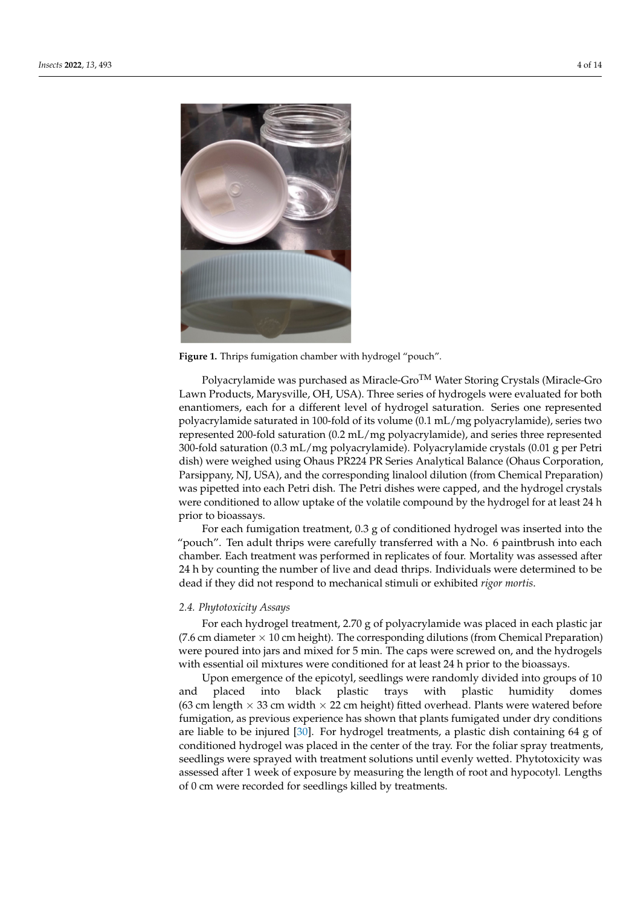<span id="page-3-0"></span>

**Figure 1.** Thrips fumigation chamber with hydrogel "pouch".

Polyacrylamide was purchased as Miracle-Gro<sup>TM</sup> Water Storing Crystals (Miracle-Gro Lawn Products, Marysville, OH, USA). Three series of hydrogels were evaluated for both enantiomers, each for a different level of hydrogel saturation. Series one represented polyacrylamide saturated in 100-fold of its volume (0.1 mL/mg polyacrylamide), series two represented 200-fold saturation (0.2 mL/mg polyacrylamide), and series three represented 300-fold saturation (0.3 mL/mg polyacrylamide). Polyacrylamide crystals (0.01 g per Petri dish) were weighed using Ohaus PR224 PR Series Analytical Balance (Ohaus Corporation, Parsippany, NJ, USA), and the corresponding linalool dilution (from Chemical Preparation) was pipetted into each Petri dish. The Petri dishes were capped, and the hydrogel crystals were conditioned to allow uptake of the volatile compound by the hydrogel for at least 24 h prior to bioassays.

For each fumigation treatment, 0.3 g of conditioned hydrogel was inserted into the "pouch". Ten adult thrips were carefully transferred with a No. 6 paintbrush into each chamber. Each treatment was performed in replicates of four. Mortality was assessed after 24 h by counting the number of live and dead thrips. Individuals were determined to be dead if they did not respond to mechanical stimuli or exhibited *rigor mortis*.

## *2.4. Phytotoxicity Assays*

For each hydrogel treatment, 2.70 g of polyacrylamide was placed in each plastic jar (7.6 cm diameter  $\times$  10 cm height). The corresponding dilutions (from Chemical Preparation) were poured into jars and mixed for 5 min. The caps were screwed on, and the hydrogels with essential oil mixtures were conditioned for at least 24 h prior to the bioassays.

Upon emergence of the epicotyl, seedlings were randomly divided into groups of 10 and placed into black plastic trays with plastic humidity domes (63 cm length  $\times$  33 cm width  $\times$  22 cm height) fitted overhead. Plants were watered before fumigation, as previous experience has shown that plants fumigated under dry conditions are liable to be injured [\[30\]](#page-11-18). For hydrogel treatments, a plastic dish containing 64 g of conditioned hydrogel was placed in the center of the tray. For the foliar spray treatments, seedlings were sprayed with treatment solutions until evenly wetted. Phytotoxicity was assessed after 1 week of exposure by measuring the length of root and hypocotyl. Lengths of 0 cm were recorded for seedlings killed by treatments.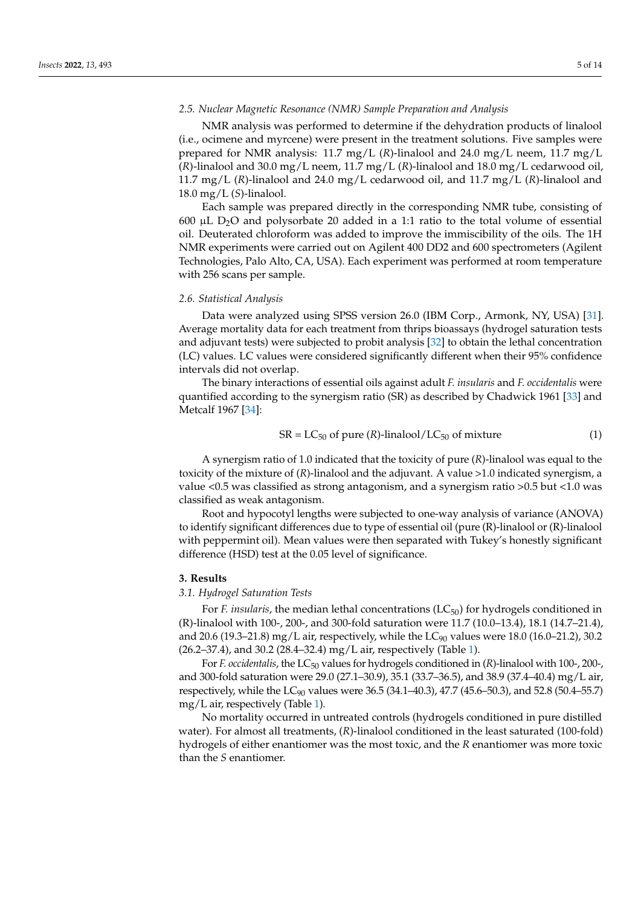#### *2.5. Nuclear Magnetic Resonance (NMR) Sample Preparation and Analysis*

NMR analysis was performed to determine if the dehydration products of linalool (i.e., ocimene and myrcene) were present in the treatment solutions. Five samples were prepared for NMR analysis: 11.7 mg/L (*R*)-linalool and 24.0 mg/L neem, 11.7 mg/L (*R*)-linalool and 30.0 mg/L neem, 11.7 mg/L (*R*)-linalool and 18.0 mg/L cedarwood oil, 11.7 mg/L (*R*)-linalool and 24.0 mg/L cedarwood oil, and 11.7 mg/L (*R*)-linalool and 18.0 mg/L (*S*)-linalool.

Each sample was prepared directly in the corresponding NMR tube, consisting of 600  $\mu$ L D<sub>2</sub>O and polysorbate 20 added in a 1:1 ratio to the total volume of essential oil. Deuterated chloroform was added to improve the immiscibility of the oils. The 1H NMR experiments were carried out on Agilent 400 DD2 and 600 spectrometers (Agilent Technologies, Palo Alto, CA, USA). Each experiment was performed at room temperature with 256 scans per sample.

## *2.6. Statistical Analysis*

Data were analyzed using SPSS version 26.0 (IBM Corp., Armonk, NY, USA) [\[31\]](#page-11-19). Average mortality data for each treatment from thrips bioassays (hydrogel saturation tests and adjuvant tests) were subjected to probit analysis [\[32\]](#page-11-20) to obtain the lethal concentration (LC) values. LC values were considered significantly different when their 95% confidence intervals did not overlap.

The binary interactions of essential oils against adult *F. insularis* and *F. occidentalis* were quantified according to the synergism ratio (SR) as described by Chadwick 1961 [\[33\]](#page-11-21) and Metcalf 1967 [\[34\]](#page-11-22):

$$
SR = LC_{50} \text{ of pure } (R)\text{-linalool}/LC_{50} \text{ of mixture}
$$
 (1)

A synergism ratio of 1.0 indicated that the toxicity of pure (*R*)-linalool was equal to the toxicity of the mixture of (*R*)-linalool and the adjuvant. A value >1.0 indicated synergism, a value <0.5 was classified as strong antagonism, and a synergism ratio >0.5 but <1.0 was classified as weak antagonism.

Root and hypocotyl lengths were subjected to one-way analysis of variance (ANOVA) to identify significant differences due to type of essential oil (pure (R)-linalool or (R)-linalool with peppermint oil). Mean values were then separated with Tukey's honestly significant difference (HSD) test at the 0.05 level of significance.

#### **3. Results**

## *3.1. Hydrogel Saturation Tests*

For *F. insularis*, the median lethal concentrations (LC<sub>50</sub>) for hydrogels conditioned in (R)-linalool with 100-, 200-, and 300-fold saturation were 11.7 (10.0–13.4), 18.1 (14.7–21.4), and 20.6 (19.3–21.8) mg/L air, respectively, while the  $LC_{90}$  values were 18.0 (16.0–21.2), 30.2 (26.2–37.4), and 30.2 (28.4–32.4) mg/L air, respectively (Table [1\)](#page-5-0).

For *F. occidentalis*, the LC<sub>50</sub> values for hydrogels conditioned in (*R*)-linalool with 100-, 200-, and 300-fold saturation were 29.0 (27.1–30.9), 35.1 (33.7–36.5), and 38.9 (37.4–40.4) mg/L air, respectively, while the LC<sub>90</sub> values were 36.5 (34.1–40.3), 47.7 (45.6–50.3), and 52.8 (50.4–55.7) mg/L air, respectively (Table [1\)](#page-5-0).

No mortality occurred in untreated controls (hydrogels conditioned in pure distilled water). For almost all treatments, (*R*)-linalool conditioned in the least saturated (100-fold) hydrogels of either enantiomer was the most toxic, and the *R* enantiomer was more toxic than the *S* enantiomer.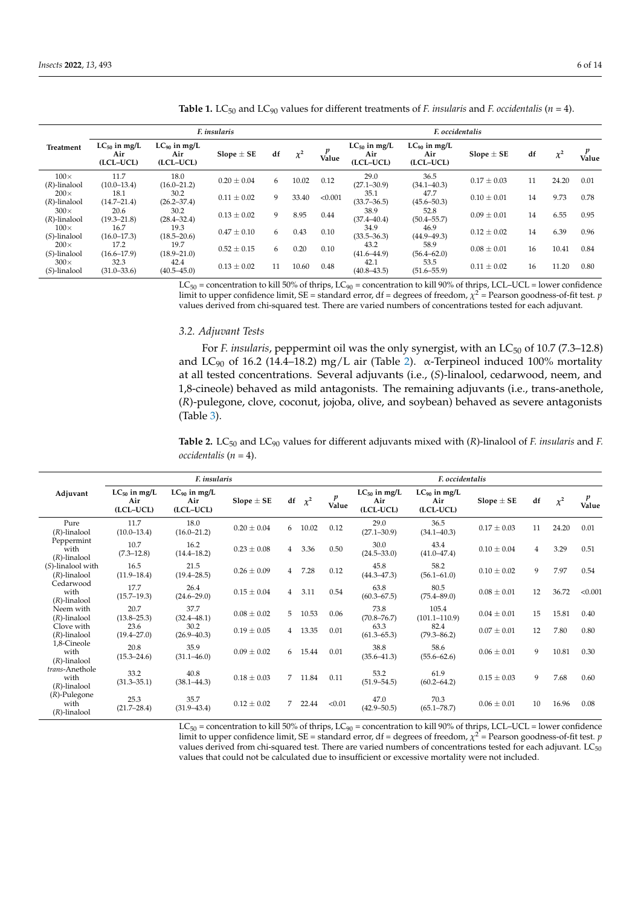|                                |                                       |                                       | F. insularis    | F. occidentalis |          |            |                                       |                                       |                 |    |          |            |
|--------------------------------|---------------------------------------|---------------------------------------|-----------------|-----------------|----------|------------|---------------------------------------|---------------------------------------|-----------------|----|----------|------------|
| <b>Treatment</b>               | $LC_{50}$ in mg/L<br>Air<br>(LCL-UCL) | $LC_{90}$ in mg/L<br>Air<br>(LCL-UCL) | $Slope \pm SE$  | df              | $\chi^2$ | p<br>Value | $LC_{50}$ in mg/L<br>Air<br>(LCL-UCL) | $LC_{90}$ in mg/L<br>Air<br>(LCL-UCL) | Slope $\pm$ SE  | df | $\chi^2$ | p<br>Value |
| $100\times$<br>$(R)$ -linalool | 11.7<br>$(10.0 - 13.4)$               | 18.0<br>$(16.0 - 21.2)$               | $0.20 \pm 0.04$ | 6               | 10.02    | 0.12       | 29.0<br>$(27.1 - 30.9)$               | 36.5<br>$(34.1 - 40.3)$               | $0.17 \pm 0.03$ | 11 | 24.20    | 0.01       |
| $200\times$<br>$(R)$ -linalool | 18.1<br>$(14.7 - 21.4)$               | 30.2<br>$(26.2 - 37.4)$               | $0.11 \pm 0.02$ | 9               | 33.40    | < 0.001    | 35.1<br>$(33.7 - 36.5)$               | 47.7<br>$(45.6 - 50.3)$               | $0.10 \pm 0.01$ | 14 | 9.73     | 0.78       |
| $300\times$<br>$(R)$ -linalool | 20.6<br>$(19.3 - 21.8)$               | 30.2<br>$(28.4 - 32.4)$               | $0.13 \pm 0.02$ | 9               | 8.95     | 0.44       | 38.9<br>$(37.4 - 40.4)$               | 52.8<br>$(50.4 - 55.7)$               | $0.09 \pm 0.01$ | 14 | 6.55     | 0.95       |
| $100\times$<br>$(S)$ -linalool | 16.7<br>$(16.0 - 17.3)$               | 19.3<br>$(18.5 - 20.6)$               | $0.47 \pm 0.10$ | 6               | 0.43     | 0.10       | 34.9<br>$(33.5 - 36.3)$               | 46.9<br>$(44.9 - 49.3)$               | $0.12 \pm 0.02$ | 14 | 6.39     | 0.96       |
| $200\times$<br>$(S)$ -linalool | 17.2<br>$(16.6 - 17.9)$               | 19.7<br>$(18.9 - 21.0)$               | $0.52 \pm 0.15$ | 6               | 0.20     | 0.10       | 43.2<br>$(41.6 - 44.9)$               | 58.9<br>$(56.4 - 62.0)$               | $0.08 \pm 0.01$ | 16 | 10.41    | 0.84       |
| $300\times$<br>$(S)$ -linalool | 32.3<br>$(31.0 - 33.6)$               | 42.4<br>$(40.5 - 45.0)$               | $0.13 \pm 0.02$ | 11              | 10.60    | 0.48       | 42.1<br>$(40.8 - 43.5)$               | 53.5<br>$(51.6 - 55.9)$               | $0.11 \pm 0.02$ | 16 | 11.20    | 0.80       |

<span id="page-5-0"></span>**Table 1.** LC<sub>50</sub> and LC<sub>90</sub> values for different treatments of *F. insularis* and *F. occidentalis* ( $n = 4$ ).

 $LC_{50}$  = concentration to kill 50% of thrips,  $LC_{90}$  = concentration to kill 90% of thrips, LCL–UCL = lower confidence limit to upper confidence limit, SE = standard error, df = degrees of freedom,  $\chi^2$  = Pearson goodness-of-fit test. *p* values derived from chi-squared test. There are varied numbers of concentrations tested for each adjuvant.

#### *3.2. Adjuvant Tests*

For *F. insularis*, peppermint oil was the only synergist, with an LC<sub>50</sub> of 10.7 (7.3–12.8) and LC<sub>90</sub> of 16.2 (14.4–18.[2\)](#page-5-1) mg/L air (Table 2).  $\alpha$ -Terpineol induced 100% mortality at all tested concentrations. Several adjuvants (i.e., (*S*)-linalool, cedarwood, neem, and 1,8-cineole) behaved as mild antagonists. The remaining adjuvants (i.e., trans-anethole, (*R*)-pulegone, clove, coconut, jojoba, olive, and soybean) behaved as severe antagonists (Table [3\)](#page-6-0).

<span id="page-5-1"></span>Table 2. LC<sub>50</sub> and LC<sub>90</sub> values for different adjuvants mixed with (*R*)-linalool of *F. insularis* and *F. occidentalis* (*n* = 4).

|                                            | F. insularis                          |                                       |                 |                |          |            | F. occidentalis                       |                                       |                 |                |          |         |
|--------------------------------------------|---------------------------------------|---------------------------------------|-----------------|----------------|----------|------------|---------------------------------------|---------------------------------------|-----------------|----------------|----------|---------|
| Adjuvant                                   | $LC_{50}$ in mg/L<br>Air<br>(LCL-UCL) | $LC_{90}$ in mg/L<br>Air<br>(LCL-UCL) | Slope $\pm$ SE  | df             | $\chi^2$ | p<br>Value | $LC_{50}$ in mg/L<br>Air<br>(LCL-UCL) | $LC_{90}$ in mg/L<br>Air<br>(LCL-UCL) | Slope $\pm$ SE  | df             | $\chi^2$ | Value   |
| Pure<br>$(R)$ -linalool                    | 11.7<br>$(10.0 - 13.4)$               | 18.0<br>$(16.0 - 21.2)$               | $0.20 \pm 0.04$ | 6              | 10.02    | 0.12       | 29.0<br>$(27.1 - 30.9)$               | 36.5<br>$(34.1 - 40.3)$               | $0.17 \pm 0.03$ | 11             | 24.20    | 0.01    |
| Peppermint<br>with<br>$(R)$ -linalool      | 10.7<br>$(7.3 - 12.8)$                | 16.2<br>$(14.4 - 18.2)$               | $0.23 \pm 0.08$ | $\overline{4}$ | 3.36     | 0.50       | 30.0<br>$(24.5 - 33.0)$               | 43.4<br>$(41.0 - 47.4)$               | $0.10 \pm 0.04$ | $\overline{4}$ | 3.29     | 0.51    |
| $(S)$ -linalool with<br>$(R)$ -linalool    | 16.5<br>$(11.9 - 18.4)$               | 21.5<br>$(19.4 - 28.5)$               | $0.26 \pm 0.09$ | $\overline{4}$ | 7.28     | 0.12       | 45.8<br>$(44.3 - 47.3)$               | 58.2<br>$(56.1 - 61.0)$               | $0.10 \pm 0.02$ | 9              | 7.97     | 0.54    |
| Cedarwood<br>with<br>$(R)$ -linalool       | 17.7<br>$(15.7 - 19.3)$               | 26.4<br>$(24.6 - 29.0)$               | $0.15 \pm 0.04$ | $\overline{4}$ | 3.11     | 0.54       | 63.8<br>$(60.3 - 67.5)$               | 80.5<br>$(75.4 - 89.0)$               | $0.08 \pm 0.01$ | 12             | 36.72    | < 0.001 |
| Neem with<br>$(R)$ -linalool               | 20.7<br>$(13.8 - 25.3)$               | 37.7<br>$(32.4 - 48.1)$               | $0.08 \pm 0.02$ | 5              | 10.53    | 0.06       | 73.8<br>$(70.8 - 76.7)$               | 105.4<br>$(101.1 - 110.9)$            | $0.04 \pm 0.01$ | 15             | 15.81    | 0.40    |
| Clove with<br>$(R)$ -linalool              | 23.6<br>$(19.4 - 27.0)$               | 30.2<br>$(26.9 - 40.3)$               | $0.19 \pm 0.05$ | $\overline{4}$ | 13.35    | 0.01       | 63.3<br>$(61.3 - 65.3)$               | 82.4<br>$(79.3 - 86.2)$               | $0.07 \pm 0.01$ | 12             | 7.80     | 0.80    |
| 1,8-Cineole<br>with<br>$(R)$ -linalool     | 20.8<br>$(15.3 - 24.6)$               | 35.9<br>$(31.1 - 46.0)$               | $0.09 \pm 0.02$ | 6              | 15.44    | 0.01       | 38.8<br>$(35.6 - 41.3)$               | 58.6<br>$(55.6 - 62.6)$               | $0.06 \pm 0.01$ | 9              | 10.81    | 0.30    |
| trans-Anethole<br>with<br>$(R)$ -linalool  | 33.2<br>$(31.3 - 35.1)$               | 40.8<br>$(38.1 - 44.3)$               | $0.18 \pm 0.03$ | $\overline{7}$ | 11.84    | 0.11       | 53.2<br>$(51.9 - 54.5)$               | 61.9<br>$(60.2 - 64.2)$               | $0.15 \pm 0.03$ | 9              | 7.68     | 0.60    |
| $(R)$ -Pulegone<br>with<br>$(R)$ -linalool | 25.3<br>$(21.7 - 28.4)$               | 35.7<br>$(31.9 - 43.4)$               | $0.12 \pm 0.02$ | 7              | 22.44    | < 0.01     | 47.0<br>$(42.9 - 50.5)$               | 70.3<br>$(65.1 - 78.7)$               | $0.06 \pm 0.01$ | 10             | 16.96    | 0.08    |

 $LC_{50}$  = concentration to kill 50% of thrips,  $LC_{90}$  = concentration to kill 90% of thrips, LCL–UCL = lower confidence limit to upper confidence limit, SE = standard error, df = degrees of freedom,  $\chi^2$  = Pearson goodness-of-fit test. *p* values derived from chi-squared test. There are varied numbers of concentrations tested for each adjuvant.  $LC_{50}$ values that could not be calculated due to insufficient or excessive mortality were not included.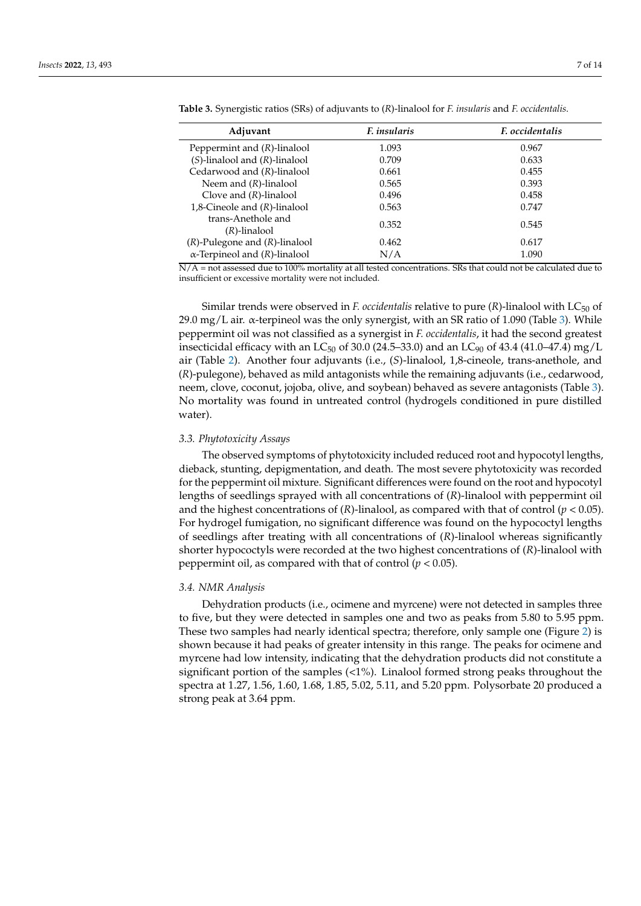| Adjuvant                             | F. insularis | <i>F. occidentalis</i> |
|--------------------------------------|--------------|------------------------|
| Peppermint and $(R)$ -linalool       | 1.093        | 0.967                  |
| $(S)$ -linalool and $(R)$ -linalool  | 0.709        | 0.633                  |
| Cedarwood and $(R)$ -linalool        | 0.661        | 0.455                  |
| Neem and $(R)$ -linalool             | 0.565        | 0.393                  |
| Clove and $(R)$ -linalool            | 0.496        | 0.458                  |
| 1,8-Cineole and $(R)$ -linalool      | 0.563        | 0.747                  |
| trans-Anethole and<br>(R)-linalool   | 0.352        | 0.545                  |
| $(R)$ -Pulegone and $(R)$ -linalool  | 0.462        | 0.617                  |
| $\alpha$ -Terpineol and (R)-linalool | N/A          | 1.090                  |

<span id="page-6-0"></span>**Table 3.** Synergistic ratios (SRs) of adjuvants to (*R*)-linalool for *F. insularis* and *F. occidentalis*.

 $N/A$  = not assessed due to 100% mortality at all tested concentrations. SRs that could not be calculated due to insufficient or excessive mortality were not included.

Similar trends were observed in *F. occidentalis* relative to pure (*R*)-linalool with LC<sub>50</sub> of 29.0 mg/L air. α-terpineol was the only synergist, with an SR ratio of 1.090 (Table [3\)](#page-6-0). While peppermint oil was not classified as a synergist in *F. occidentalis*, it had the second greatest insecticidal efficacy with an LC<sub>50</sub> of 30.0 (24.5–33.0) and an LC<sub>90</sub> of 43.4 (41.0–47.4) mg/L air (Table [2\)](#page-5-1). Another four adjuvants (i.e., (*S*)-linalool, 1,8-cineole, trans-anethole, and (*R*)-pulegone), behaved as mild antagonists while the remaining adjuvants (i.e., cedarwood, neem, clove, coconut, jojoba, olive, and soybean) behaved as severe antagonists (Table [3\)](#page-6-0). No mortality was found in untreated control (hydrogels conditioned in pure distilled water).

#### *3.3. Phytotoxicity Assays*

The observed symptoms of phytotoxicity included reduced root and hypocotyl lengths, dieback, stunting, depigmentation, and death. The most severe phytotoxicity was recorded for the peppermint oil mixture. Significant differences were found on the root and hypocotyl lengths of seedlings sprayed with all concentrations of (*R*)-linalool with peppermint oil and the highest concentrations of  $(R)$ -linalool, as compared with that of control  $(p < 0.05)$ . For hydrogel fumigation, no significant difference was found on the hypococtyl lengths of seedlings after treating with all concentrations of (*R*)-linalool whereas significantly shorter hypococtyls were recorded at the two highest concentrations of (*R*)-linalool with peppermint oil, as compared with that of control  $(p < 0.05)$ .

#### *3.4. NMR Analysis*

Dehydration products (i.e., ocimene and myrcene) were not detected in samples three to five, but they were detected in samples one and two as peaks from 5.80 to 5.95 ppm. These two samples had nearly identical spectra; therefore, only sample one (Figure [2\)](#page-7-0) is shown because it had peaks of greater intensity in this range. The peaks for ocimene and myrcene had low intensity, indicating that the dehydration products did not constitute a significant portion of the samples (<1%). Linalool formed strong peaks throughout the spectra at 1.27, 1.56, 1.60, 1.68, 1.85, 5.02, 5.11, and 5.20 ppm. Polysorbate 20 produced a strong peak at 3.64 ppm.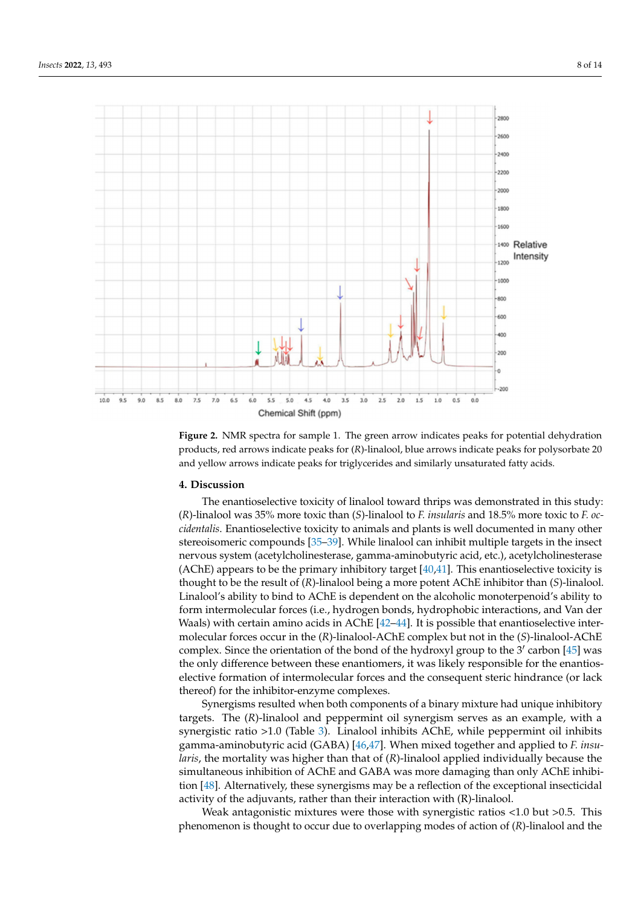<span id="page-7-0"></span>

**Figure 2.** NMR spectra for sample 1. The green arrow indicates peaks for potential dehydration products, red arrows indicate peaks for (*R*)-linalool, blue arrows indicate peaks for polysorbate 20 and yellow arrows indicate peaks for triglycerides and similarly unsaturated fatty acids.

#### **4. Discussion**

The enantioselective toxicity of linalool toward thrips was demonstrated in this study: (*R*)-linalool was 35% more toxic than (*S*)-linalool to *F. insularis* and 18.5% more toxic to *F. occidentalis*. Enantioselective toxicity to animals and plants is well documented in many other stereoisomeric compounds [\[35](#page-11-23)[–39\]](#page-11-24). While linalool can inhibit multiple targets in the insect nervous system (acetylcholinesterase, gamma-aminobutyric acid, etc.), acetylcholinesterase (AChE) appears to be the primary inhibitory target  $[40,41]$  $[40,41]$ . This enantioselective toxicity is thought to be the result of (*R*)-linalool being a more potent AChE inhibitor than (*S*)-linalool. Linalool's ability to bind to AChE is dependent on the alcoholic monoterpenoid's ability to form intermolecular forces (i.e., hydrogen bonds, hydrophobic interactions, and Van der Waals) with certain amino acids in AChE [\[42–](#page-12-0)[44\]](#page-12-1). It is possible that enantioselective intermolecular forces occur in the (*R*)-linalool-AChE complex but not in the (*S*)-linalool-AChE complex. Since the orientation of the bond of the hydroxyl group to the  $3'$  carbon [\[45\]](#page-12-2) was the only difference between these enantiomers, it was likely responsible for the enantioselective formation of intermolecular forces and the consequent steric hindrance (or lack thereof) for the inhibitor-enzyme complexes.

Synergisms resulted when both components of a binary mixture had unique inhibitory targets. The (*R*)-linalool and peppermint oil synergism serves as an example, with a synergistic ratio >1.0 (Table [3\)](#page-6-0). Linalool inhibits AChE, while peppermint oil inhibits gamma-aminobutyric acid (GABA) [\[46](#page-12-3)[,47\]](#page-12-4). When mixed together and applied to *F. insularis*, the mortality was higher than that of (*R*)-linalool applied individually because the simultaneous inhibition of AChE and GABA was more damaging than only AChE inhibition [\[48\]](#page-12-5). Alternatively, these synergisms may be a reflection of the exceptional insecticidal activity of the adjuvants, rather than their interaction with (R)-linalool.

Weak antagonistic mixtures were those with synergistic ratios <1.0 but >0.5. This phenomenon is thought to occur due to overlapping modes of action of (*R*)-linalool and the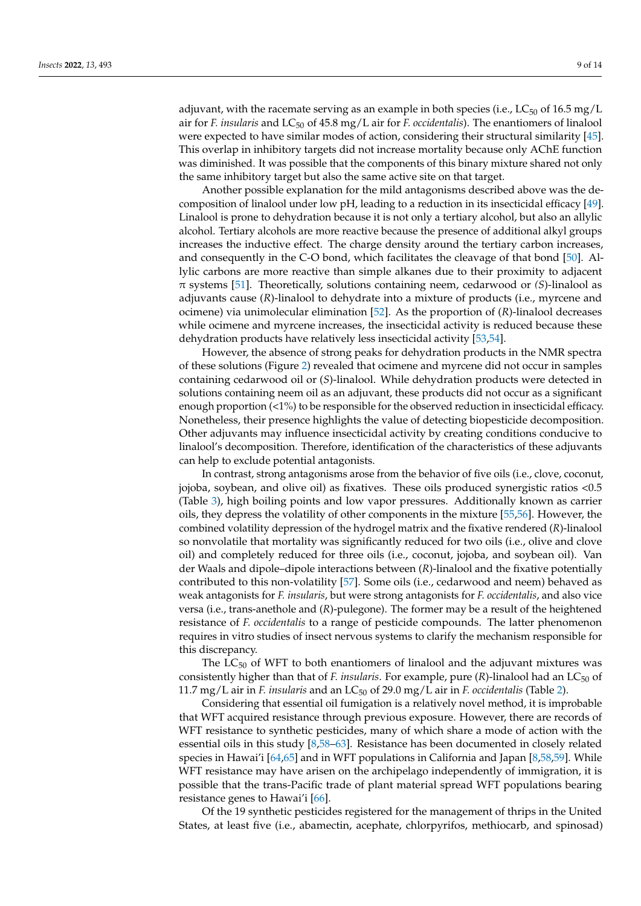adjuvant, with the racemate serving as an example in both species (i.e.,  $LC_{50}$  of 16.5 mg/L air for *F. insularis* and LC<sup>50</sup> of 45.8 mg/L air for *F. occidentalis*). The enantiomers of linalool were expected to have similar modes of action, considering their structural similarity [\[45\]](#page-12-2). This overlap in inhibitory targets did not increase mortality because only AChE function was diminished. It was possible that the components of this binary mixture shared not only the same inhibitory target but also the same active site on that target.

Another possible explanation for the mild antagonisms described above was the decomposition of linalool under low pH, leading to a reduction in its insecticidal efficacy [\[49\]](#page-12-6). Linalool is prone to dehydration because it is not only a tertiary alcohol, but also an allylic alcohol. Tertiary alcohols are more reactive because the presence of additional alkyl groups increases the inductive effect. The charge density around the tertiary carbon increases, and consequently in the C-O bond, which facilitates the cleavage of that bond [\[50\]](#page-12-7). Allylic carbons are more reactive than simple alkanes due to their proximity to adjacent π systems [\[51\]](#page-12-8). Theoretically, solutions containing neem, cedarwood or *(S*)-linalool as adjuvants cause (*R*)-linalool to dehydrate into a mixture of products (i.e., myrcene and ocimene) via unimolecular elimination [\[52\]](#page-12-9). As the proportion of (*R*)-linalool decreases while ocimene and myrcene increases, the insecticidal activity is reduced because these dehydration products have relatively less insecticidal activity [\[53](#page-12-10)[,54\]](#page-12-11).

However, the absence of strong peaks for dehydration products in the NMR spectra of these solutions (Figure [2\)](#page-7-0) revealed that ocimene and myrcene did not occur in samples containing cedarwood oil or (*S*)-linalool. While dehydration products were detected in solutions containing neem oil as an adjuvant, these products did not occur as a significant enough proportion (<1%) to be responsible for the observed reduction in insecticidal efficacy. Nonetheless, their presence highlights the value of detecting biopesticide decomposition. Other adjuvants may influence insecticidal activity by creating conditions conducive to linalool's decomposition. Therefore, identification of the characteristics of these adjuvants can help to exclude potential antagonists.

In contrast, strong antagonisms arose from the behavior of five oils (i.e., clove, coconut, jojoba, soybean, and olive oil) as fixatives. These oils produced synergistic ratios <0.5 (Table [3\)](#page-6-0), high boiling points and low vapor pressures. Additionally known as carrier oils, they depress the volatility of other components in the mixture [\[55](#page-12-12)[,56\]](#page-12-13). However, the combined volatility depression of the hydrogel matrix and the fixative rendered (*R*)-linalool so nonvolatile that mortality was significantly reduced for two oils (i.e., olive and clove oil) and completely reduced for three oils (i.e., coconut, jojoba, and soybean oil). Van der Waals and dipole–dipole interactions between (*R*)-linalool and the fixative potentially contributed to this non-volatility [\[57\]](#page-12-14). Some oils (i.e., cedarwood and neem) behaved as weak antagonists for *F. insularis*, but were strong antagonists for *F. occidentalis*, and also vice versa (i.e., trans-anethole and (*R*)-pulegone). The former may be a result of the heightened resistance of *F. occidentalis* to a range of pesticide compounds. The latter phenomenon requires in vitro studies of insect nervous systems to clarify the mechanism responsible for this discrepancy.

The  $LC_{50}$  of WFT to both enantiomers of linalool and the adjuvant mixtures was consistently higher than that of *F. insularis*. For example, pure (*R*)-linalool had an LC<sub>50</sub> of 11.7 mg/L air in *F. insularis* and an LC<sup>50</sup> of 29.0 mg/L air in *F. occidentalis* (Table [2\)](#page-5-1).

Considering that essential oil fumigation is a relatively novel method, it is improbable that WFT acquired resistance through previous exposure. However, there are records of WFT resistance to synthetic pesticides, many of which share a mode of action with the essential oils in this study [\[8,](#page-10-6)[58–](#page-12-15)[63\]](#page-12-16). Resistance has been documented in closely related species in Hawai'i [\[64,](#page-12-17)[65\]](#page-12-18) and in WFT populations in California and Japan [\[8,](#page-10-6)[58,](#page-12-15)[59\]](#page-12-19). While WFT resistance may have arisen on the archipelago independently of immigration, it is possible that the trans-Pacific trade of plant material spread WFT populations bearing resistance genes to Hawai'i [\[66\]](#page-12-20).

Of the 19 synthetic pesticides registered for the management of thrips in the United States, at least five (i.e., abamectin, acephate, chlorpyrifos, methiocarb, and spinosad)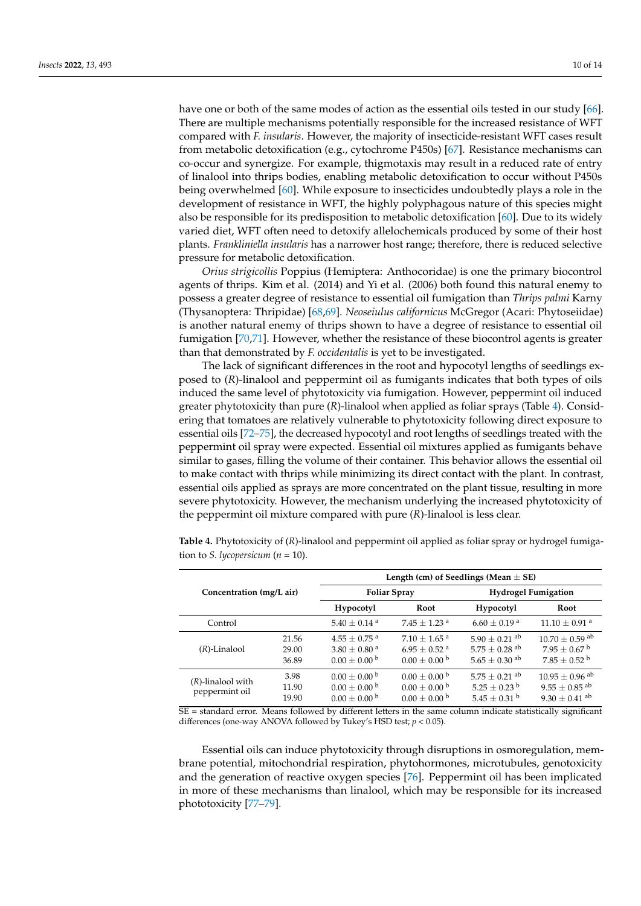have one or both of the same modes of action as the essential oils tested in our study [\[66\]](#page-12-20). There are multiple mechanisms potentially responsible for the increased resistance of WFT compared with *F. insularis*. However, the majority of insecticide-resistant WFT cases result from metabolic detoxification (e.g., cytochrome P450s) [\[67\]](#page-12-21). Resistance mechanisms can co-occur and synergize. For example, thigmotaxis may result in a reduced rate of entry of linalool into thrips bodies, enabling metabolic detoxification to occur without P450s being overwhelmed [\[60\]](#page-12-22). While exposure to insecticides undoubtedly plays a role in the development of resistance in WFT, the highly polyphagous nature of this species might also be responsible for its predisposition to metabolic detoxification [\[60\]](#page-12-22). Due to its widely varied diet, WFT often need to detoxify allelochemicals produced by some of their host plants. *Frankliniella insularis* has a narrower host range; therefore, there is reduced selective pressure for metabolic detoxification.

*Orius strigicollis* Poppius (Hemiptera: Anthocoridae) is one the primary biocontrol agents of thrips. Kim et al. (2014) and Yi et al. (2006) both found this natural enemy to possess a greater degree of resistance to essential oil fumigation than *Thrips palmi* Karny (Thysanoptera: Thripidae) [\[68,](#page-12-23)[69\]](#page-13-0). *Neoseiulus californicus* McGregor (Acari: Phytoseiidae) is another natural enemy of thrips shown to have a degree of resistance to essential oil fumigation [\[70](#page-13-1)[,71\]](#page-13-2). However, whether the resistance of these biocontrol agents is greater than that demonstrated by *F. occidentalis* is yet to be investigated.

The lack of significant differences in the root and hypocotyl lengths of seedlings exposed to (*R*)-linalool and peppermint oil as fumigants indicates that both types of oils induced the same level of phytotoxicity via fumigation. However, peppermint oil induced greater phytotoxicity than pure (*R*)-linalool when applied as foliar sprays (Table [4\)](#page-9-0). Considering that tomatoes are relatively vulnerable to phytotoxicity following direct exposure to essential oils [\[72](#page-13-3)[–75\]](#page-13-4), the decreased hypocotyl and root lengths of seedlings treated with the peppermint oil spray were expected. Essential oil mixtures applied as fumigants behave similar to gases, filling the volume of their container. This behavior allows the essential oil to make contact with thrips while minimizing its direct contact with the plant. In contrast, essential oils applied as sprays are more concentrated on the plant tissue, resulting in more severe phytotoxicity. However, the mechanism underlying the increased phytotoxicity of the peppermint oil mixture compared with pure (*R*)-linalool is less clear.

**Concentration (mg/L air) Length (cm) of Seedlings (Mean** ± **SE) Foliar Spray Hydrogel Fumigation Hypocotyl Root Hypocotyl Root** Control 5.40  $\pm$  0.14 a 7.45  $\pm$  1.23 a 6.60  $\pm$  0.19 a 11.10  $\pm$  0.91 a (*R*)-Linalool 21.56  $4.55 + 0.75$ <sup>a</sup>  $7.10 + 1.65$ <sup>a</sup>  $5.90 \pm 0.21$  ab  $10.70 \pm 0.59$  ab<br> $5.75 \pm 0.28$  ab  $7.95 \pm 0.67$  b 29.00  $3.80 \pm 0.80^{\text{ a}}$   $6.95 \pm 0.52^{\text{ a}}$  $5.75 \pm 0.28$  ab  $7.95 \pm 0.67$  b<br> $5.65 \pm 0.30$  ab  $7.85 \pm 0.52$  b 36.89  $0.00 \pm 0.00$  b  $0.00 \pm 0.00$  b  $5.65 \pm 0.30$  ab (*R*)-linalool with peppermint oil 3.98  $0.00 \pm 0.00^{\text{ b}}$   $0.00 \pm 0.00^{\text{ b}}$   $5.75 \pm 0.21^{\text{ ab}}$   $10.95 \pm 0.96^{\text{ ab}}$ <br>11.90  $0.00 \pm 0.00^{\text{ b}}$   $0.00 \pm 0.00^{\text{ b}}$   $5.25 \pm 0.23^{\text{ b}}$   $9.55 \pm 0.85^{\text{ ab}}$ 11.90  $0.00 \pm 0.00$   $b$   $0.00 \pm 0.00$   $b$   $5.25 \pm 0.23$   $b$   $9.55 \pm 0.85$  ab 19.90  $0.00 \pm 0.00^{b}$   $0.00 \pm 0.00^{b}$   $5.45 \pm 0.31^{b}$   $9.30 \pm 0.41^{ab}$ 

<span id="page-9-0"></span>**Table 4.** Phytotoxicity of (*R*)-linalool and peppermint oil applied as foliar spray or hydrogel fumigation to *S. lycopersicum* ( $n = 10$ ).

SE = standard error. Means followed by different letters in the same column indicate statistically significant differences (one-way ANOVA followed by Tukey's HSD test; *p* < 0.05).

Essential oils can induce phytotoxicity through disruptions in osmoregulation, membrane potential, mitochondrial respiration, phytohormones, microtubules, genotoxicity and the generation of reactive oxygen species [\[76\]](#page-13-5). Peppermint oil has been implicated in more of these mechanisms than linalool, which may be responsible for its increased phototoxicity [\[77–](#page-13-6)[79\]](#page-13-7).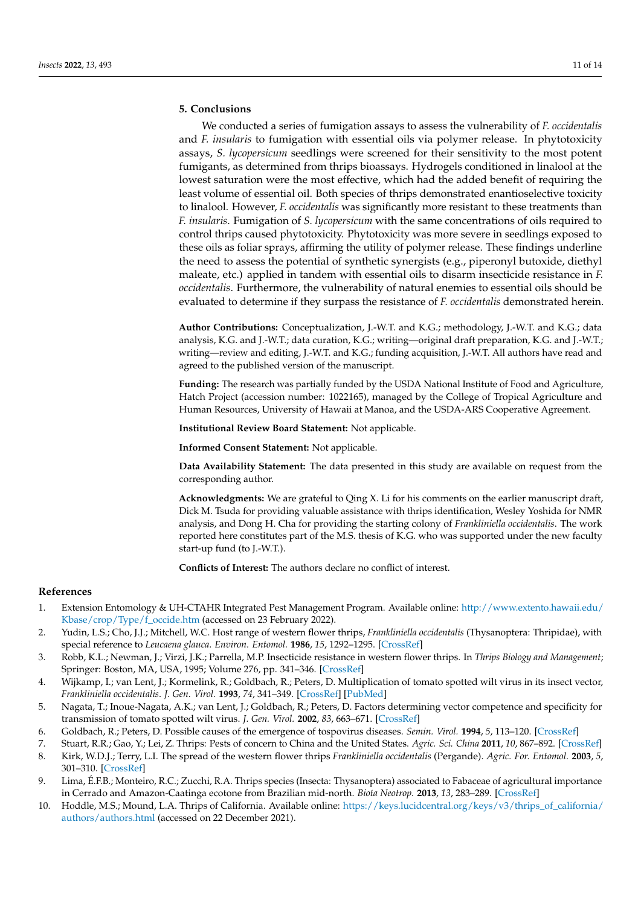# **5. Conclusions**

We conducted a series of fumigation assays to assess the vulnerability of *F. occidentalis* and *F. insularis* to fumigation with essential oils via polymer release. In phytotoxicity assays, *S. lycopersicum* seedlings were screened for their sensitivity to the most potent fumigants, as determined from thrips bioassays. Hydrogels conditioned in linalool at the lowest saturation were the most effective, which had the added benefit of requiring the least volume of essential oil. Both species of thrips demonstrated enantioselective toxicity to linalool. However, *F. occidentalis* was significantly more resistant to these treatments than *F. insularis*. Fumigation of *S. lycopersicum* with the same concentrations of oils required to control thrips caused phytotoxicity. Phytotoxicity was more severe in seedlings exposed to these oils as foliar sprays, affirming the utility of polymer release. These findings underline the need to assess the potential of synthetic synergists (e.g., piperonyl butoxide, diethyl maleate, etc.) applied in tandem with essential oils to disarm insecticide resistance in *F. occidentalis*. Furthermore, the vulnerability of natural enemies to essential oils should be evaluated to determine if they surpass the resistance of *F. occidentalis* demonstrated herein.

**Author Contributions:** Conceptualization, J.-W.T. and K.G.; methodology, J.-W.T. and K.G.; data analysis, K.G. and J.-W.T.; data curation, K.G.; writing—original draft preparation, K.G. and J.-W.T.; writing—review and editing, J.-W.T. and K.G.; funding acquisition, J.-W.T. All authors have read and agreed to the published version of the manuscript.

**Funding:** The research was partially funded by the USDA National Institute of Food and Agriculture, Hatch Project (accession number: 1022165), managed by the College of Tropical Agriculture and Human Resources, University of Hawaii at Manoa, and the USDA-ARS Cooperative Agreement.

**Institutional Review Board Statement:** Not applicable.

**Informed Consent Statement:** Not applicable.

**Data Availability Statement:** The data presented in this study are available on request from the corresponding author.

**Acknowledgments:** We are grateful to Qing X. Li for his comments on the earlier manuscript draft, Dick M. Tsuda for providing valuable assistance with thrips identification, Wesley Yoshida for NMR analysis, and Dong H. Cha for providing the starting colony of *Frankliniella occidentalis*. The work reported here constitutes part of the M.S. thesis of K.G. who was supported under the new faculty start-up fund (to J.-W.T.).

**Conflicts of Interest:** The authors declare no conflict of interest.

## **References**

- <span id="page-10-0"></span>1. Extension Entomology & UH-CTAHR Integrated Pest Management Program. Available online: [http://www.extento.hawaii.edu/](http://www.extento.hawaii.edu/Kbase/crop/Type/f_occide.htm) [Kbase/crop/Type/f\\_occide.htm](http://www.extento.hawaii.edu/Kbase/crop/Type/f_occide.htm) (accessed on 23 February 2022).
- <span id="page-10-1"></span>2. Yudin, L.S.; Cho, J.J.; Mitchell, W.C. Host range of western flower thrips, *Frankliniella occidentalis* (Thysanoptera: Thripidae), with special reference to *Leucaena glauca*. *Environ. Entomol.* **1986**, *15*, 1292–1295. [\[CrossRef\]](http://doi.org/10.1093/ee/15.6.1292)
- <span id="page-10-2"></span>3. Robb, K.L.; Newman, J.; Virzi, J.K.; Parrella, M.P. Insecticide resistance in western flower thrips. In *Thrips Biology and Management*; Springer: Boston, MA, USA, 1995; Volume 276, pp. 341–346. [\[CrossRef\]](http://doi.org/10.1007/978-1-4899-1409-5_52)
- 4. Wijkamp, I.; van Lent, J.; Kormelink, R.; Goldbach, R.; Peters, D. Multiplication of tomato spotted wilt virus in its insect vector, *Frankliniella occidentalis*. *J. Gen. Virol.* **1993**, *74*, 341–349. [\[CrossRef\]](http://doi.org/10.1099/0022-1317-74-3-341) [\[PubMed\]](http://www.ncbi.nlm.nih.gov/pubmed/8445364)
- <span id="page-10-3"></span>5. Nagata, T.; Inoue-Nagata, A.K.; van Lent, J.; Goldbach, R.; Peters, D. Factors determining vector competence and specificity for transmission of tomato spotted wilt virus. *J. Gen. Virol.* **2002**, *83*, 663–671. [\[CrossRef\]](http://doi.org/10.1099/0022-1317-83-3-663)
- <span id="page-10-4"></span>6. Goldbach, R.; Peters, D. Possible causes of the emergence of tospovirus diseases. *Semin. Virol.* **1994**, *5*, 113–120. [\[CrossRef\]](http://doi.org/10.1006/smvy.1994.1012)
- <span id="page-10-5"></span>7. Stuart, R.R.; Gao, Y.; Lei, Z. Thrips: Pests of concern to China and the United States. *Agric. Sci. China* **2011**, *10*, 867–892. [\[CrossRef\]](http://doi.org/10.1016/S1671-2927(11)60073-4)
- <span id="page-10-6"></span>8. Kirk, W.D.J.; Terry, L.I. The spread of the western flower thrips *Frankliniella occidentalis* (Pergande). *Agric. For. Entomol.* **2003**, *5*, 301–310. [\[CrossRef\]](http://doi.org/10.1046/j.1461-9563.2003.00192.x)
- <span id="page-10-7"></span>9. Lima, É.F.B.; Monteiro, R.C.; Zucchi, R.A. Thrips species (Insecta: Thysanoptera) associated to Fabaceae of agricultural importance in Cerrado and Amazon-Caatinga ecotone from Brazilian mid-north. *Biota Neotrop.* **2013**, *13*, 283–289. [\[CrossRef\]](http://doi.org/10.1590/S1676-06032013000200027)
- <span id="page-10-8"></span>10. Hoddle, M.S.; Mound, L.A. Thrips of California. Available online: [https://keys.lucidcentral.org/keys/v3/thrips\\_of\\_california/](https://keys.lucidcentral.org/keys/v3/thrips_of_california/authors/authors.html) [authors/authors.html](https://keys.lucidcentral.org/keys/v3/thrips_of_california/authors/authors.html) (accessed on 22 December 2021).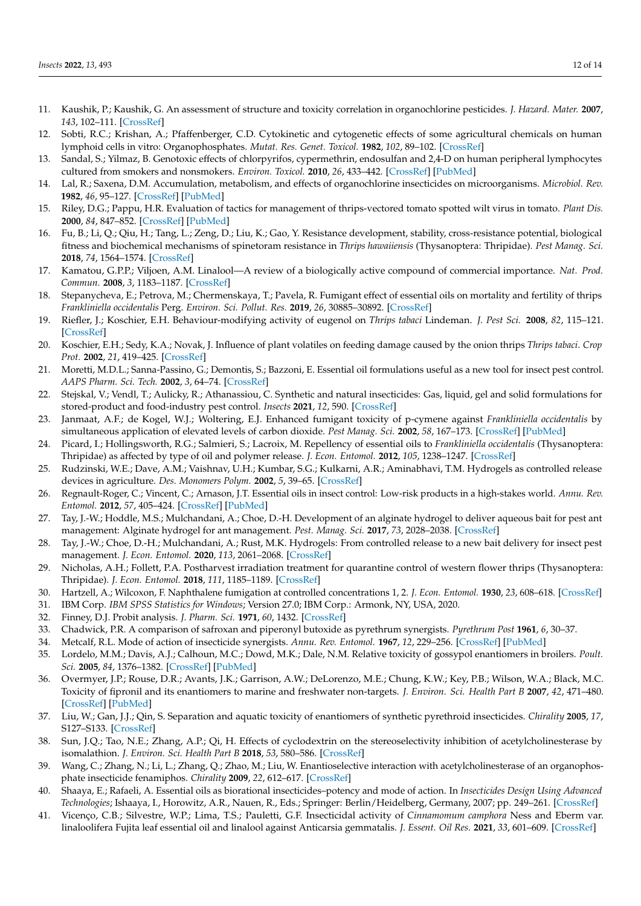- <span id="page-11-0"></span>11. Kaushik, P.; Kaushik, G. An assessment of structure and toxicity correlation in organochlorine pesticides. *J. Hazard. Mater.* **2007**, *143*, 102–111. [\[CrossRef\]](http://doi.org/10.1016/j.jhazmat.2006.08.073)
- 12. Sobti, R.C.; Krishan, A.; Pfaffenberger, C.D. Cytokinetic and cytogenetic effects of some agricultural chemicals on human lymphoid cells in vitro: Organophosphates. *Mutat. Res. Genet. Toxicol.* **1982**, *102*, 89–102. [\[CrossRef\]](http://doi.org/10.1016/0165-1218(82)90149-5)
- <span id="page-11-1"></span>13. Sandal, S.; Yilmaz, B. Genotoxic effects of chlorpyrifos, cypermethrin, endosulfan and 2,4-D on human peripheral lymphocytes cultured from smokers and nonsmokers. *Environ. Toxicol.* **2010**, *26*, 433–442. [\[CrossRef\]](http://doi.org/10.1002/tox.20569) [\[PubMed\]](http://www.ncbi.nlm.nih.gov/pubmed/20196147)
- <span id="page-11-2"></span>14. Lal, R.; Saxena, D.M. Accumulation, metabolism, and effects of organochlorine insecticides on microorganisms. *Microbiol. Rev.* **1982**, *46*, 95–127. [\[CrossRef\]](http://doi.org/10.1128/mr.46.1.95-127.1982) [\[PubMed\]](http://www.ncbi.nlm.nih.gov/pubmed/6178010)
- <span id="page-11-3"></span>15. Riley, D.G.; Pappu, H.R. Evaluation of tactics for management of thrips-vectored tomato spotted wilt virus in tomato. *Plant Dis.* **2000**, *84*, 847–852. [\[CrossRef\]](http://doi.org/10.1094/PDIS.2000.84.8.847) [\[PubMed\]](http://www.ncbi.nlm.nih.gov/pubmed/30832137)
- <span id="page-11-4"></span>16. Fu, B.; Li, Q.; Qiu, H.; Tang, L.; Zeng, D.; Liu, K.; Gao, Y. Resistance development, stability, cross-resistance potential, biological fitness and biochemical mechanisms of spinetoram resistance in *Thrips hawaiiensis* (Thysanoptera: Thripidae). *Pest Manag. Sci.* **2018**, *74*, 1564–1574. [\[CrossRef\]](http://doi.org/10.1002/ps.4887)
- <span id="page-11-5"></span>17. Kamatou, G.P.P.; Viljoen, A.M. Linalool—A review of a biologically active compound of commercial importance. *Nat. Prod. Commun.* **2008**, *3*, 1183–1187. [\[CrossRef\]](http://doi.org/10.1177/1934578X0800300727)
- <span id="page-11-6"></span>18. Stepanycheva, E.; Petrova, M.; Chermenskaya, T.; Pavela, R. Fumigant effect of essential oils on mortality and fertility of thrips *Frankliniella occidentalis* Perg. *Environ. Sci. Pollut. Res.* **2019**, *26*, 30885–30892. [\[CrossRef\]](http://doi.org/10.1007/s11356-019-06239-y)
- <span id="page-11-7"></span>19. Riefler, J.; Koschier, E.H. Behaviour-modifying activity of eugenol on *Thrips tabaci* Lindeman. *J. Pest Sci.* **2008**, *82*, 115–121. [\[CrossRef\]](http://doi.org/10.1007/s10340-008-0229-6)
- <span id="page-11-8"></span>20. Koschier, E.H.; Sedy, K.A.; Novak, J. Influence of plant volatiles on feeding damage caused by the onion thrips *Thrips tabaci*. *Crop Prot.* **2002**, *21*, 419–425. [\[CrossRef\]](http://doi.org/10.1016/S0261-2194(01)00124-7)
- <span id="page-11-9"></span>21. Moretti, M.D.L.; Sanna-Passino, G.; Demontis, S.; Bazzoni, E. Essential oil formulations useful as a new tool for insect pest control. *AAPS Pharm. Sci. Tech.* **2002**, *3*, 64–74. [\[CrossRef\]](http://doi.org/10.1208/pt030213)
- <span id="page-11-10"></span>22. Stejskal, V.; Vendl, T.; Aulicky, R.; Athanassiou, C. Synthetic and natural insecticides: Gas, liquid, gel and solid formulations for stored-product and food-industry pest control. *Insects* **2021**, *12*, 590. [\[CrossRef\]](http://doi.org/10.3390/insects12070590)
- <span id="page-11-11"></span>23. Janmaat, A.F.; de Kogel, W.J.; Woltering, E.J. Enhanced fumigant toxicity of p-cymene against *Frankliniella occidentalis* by simultaneous application of elevated levels of carbon dioxide. *Pest Manag. Sci.* **2002**, *58*, 167–173. [\[CrossRef\]](http://doi.org/10.1002/ps.432) [\[PubMed\]](http://www.ncbi.nlm.nih.gov/pubmed/11852641)
- <span id="page-11-12"></span>24. Picard, I.; Hollingsworth, R.G.; Salmieri, S.; Lacroix, M. Repellency of essential oils to *Frankliniella occidentalis* (Thysanoptera: Thripidae) as affected by type of oil and polymer release. *J. Econ. Entomol.* **2012**, *105*, 1238–1247. [\[CrossRef\]](http://doi.org/10.1603/EC11292)
- <span id="page-11-13"></span>25. Rudzinski, W.E.; Dave, A.M.; Vaishnav, U.H.; Kumbar, S.G.; Kulkarni, A.R.; Aminabhavi, T.M. Hydrogels as controlled release devices in agriculture. *Des. Monomers Polym.* **2002**, *5*, 39–65. [\[CrossRef\]](http://doi.org/10.1163/156855502760151580)
- <span id="page-11-14"></span>26. Regnault-Roger, C.; Vincent, C.; Arnason, J.T. Essential oils in insect control: Low-risk products in a high-stakes world. *Annu. Rev. Entomol.* **2012**, *57*, 405–424. [\[CrossRef\]](http://doi.org/10.1146/annurev-ento-120710-100554) [\[PubMed\]](http://www.ncbi.nlm.nih.gov/pubmed/21942843)
- <span id="page-11-15"></span>27. Tay, J.-W.; Hoddle, M.S.; Mulchandani, A.; Choe, D.-H. Development of an alginate hydrogel to deliver aqueous bait for pest ant management: Alginate hydrogel for ant management. *Pest. Manag. Sci.* **2017**, *73*, 2028–2038. [\[CrossRef\]](http://doi.org/10.1002/ps.4616)
- <span id="page-11-16"></span>28. Tay, J.-W.; Choe, D.-H.; Mulchandani, A.; Rust, M.K. Hydrogels: From controlled release to a new bait delivery for insect pest management. *J. Econ. Entomol.* **2020**, *113*, 2061–2068. [\[CrossRef\]](http://doi.org/10.1093/jee/toaa183)
- <span id="page-11-17"></span>29. Nicholas, A.H.; Follett, P.A. Postharvest irradiation treatment for quarantine control of western flower thrips (Thysanoptera: Thripidae). *J. Econ. Entomol.* **2018**, *111*, 1185–1189. [\[CrossRef\]](http://doi.org/10.1093/jee/toy073)
- <span id="page-11-18"></span>30. Hartzell, A.; Wilcoxon, F. Naphthalene fumigation at controlled concentrations 1, 2. *J. Econ. Entomol.* **1930**, *23*, 608–618. [\[CrossRef\]](http://doi.org/10.1093/jee/23.3.608)
- <span id="page-11-19"></span>31. IBM Corp. *IBM SPSS Statistics for Windows*; Version 27.0; IBM Corp.: Armonk, NY, USA, 2020.
- <span id="page-11-20"></span>32. Finney, D.J. Probit analysis. *J. Pharm. Sci.* **1971**, *60*, 1432. [\[CrossRef\]](http://doi.org/10.1002/jps.2600600940)
- <span id="page-11-21"></span>33. Chadwick, P.R. A comparison of safroxan and piperonyl butoxide as pyrethrum synergists. *Pyrethrum Post* **1961**, *6*, 30–37.
- <span id="page-11-22"></span>34. Metcalf, R.L. Mode of action of insecticide synergists. *Annu. Rev. Entomol.* **1967**, *12*, 229–256. [\[CrossRef\]](http://doi.org/10.1146/annurev.en.12.010167.001305) [\[PubMed\]](http://www.ncbi.nlm.nih.gov/pubmed/5340719)
- <span id="page-11-23"></span>35. Lordelo, M.M.; Davis, A.J.; Calhoun, M.C.; Dowd, M.K.; Dale, N.M. Relative toxicity of gossypol enantiomers in broilers. *Poult. Sci.* **2005**, *84*, 1376–1382. [\[CrossRef\]](http://doi.org/10.1093/ps/84.9.1376) [\[PubMed\]](http://www.ncbi.nlm.nih.gov/pubmed/16206558)
- 36. Overmyer, J.P.; Rouse, D.R.; Avants, J.K.; Garrison, A.W.; DeLorenzo, M.E.; Chung, K.W.; Key, P.B.; Wilson, W.A.; Black, M.C. Toxicity of fipronil and its enantiomers to marine and freshwater non-targets. *J. Environ. Sci. Health Part B* **2007**, *42*, 471–480. [\[CrossRef\]](http://doi.org/10.1080/03601230701391823) [\[PubMed\]](http://www.ncbi.nlm.nih.gov/pubmed/17562454)
- 37. Liu, W.; Gan, J.J.; Qin, S. Separation and aquatic toxicity of enantiomers of synthetic pyrethroid insecticides. *Chirality* **2005**, *17*, S127–S133. [\[CrossRef\]](http://doi.org/10.1002/chir.20122)
- 38. Sun, J.Q.; Tao, N.E.; Zhang, A.P.; Qi, H. Effects of cyclodextrin on the stereoselectivity inhibition of acetylcholinesterase by isomalathion. *J. Environ. Sci. Health Part B* **2018**, *53*, 580–586. [\[CrossRef\]](http://doi.org/10.1080/03601234.2018.1473963)
- <span id="page-11-24"></span>39. Wang, C.; Zhang, N.; Li, L.; Zhang, Q.; Zhao, M.; Liu, W. Enantioselective interaction with acetylcholinesterase of an organophosphate insecticide fenamiphos. *Chirality* **2009**, *22*, 612–617. [\[CrossRef\]](http://doi.org/10.1002/chir.20800)
- <span id="page-11-25"></span>40. Shaaya, E.; Rafaeli, A. Essential oils as biorational insecticides–potency and mode of action. In *Insecticides Design Using Advanced Technologies*; Ishaaya, I., Horowitz, A.R., Nauen, R., Eds.; Springer: Berlin/Heidelberg, Germany, 2007; pp. 249–261. [\[CrossRef\]](http://doi.org/10.1007/978-3-540-46907-0_11)
- <span id="page-11-26"></span>41. Vicenço, C.B.; Silvestre, W.P.; Lima, T.S.; Pauletti, G.F. Insecticidal activity of *Cinnamomum camphora* Ness and Eberm var. linaloolifera Fujita leaf essential oil and linalool against Anticarsia gemmatalis. *J. Essent. Oil Res.* **2021**, *33*, 601–609. [\[CrossRef\]](http://doi.org/10.1080/10412905.2021.1937353)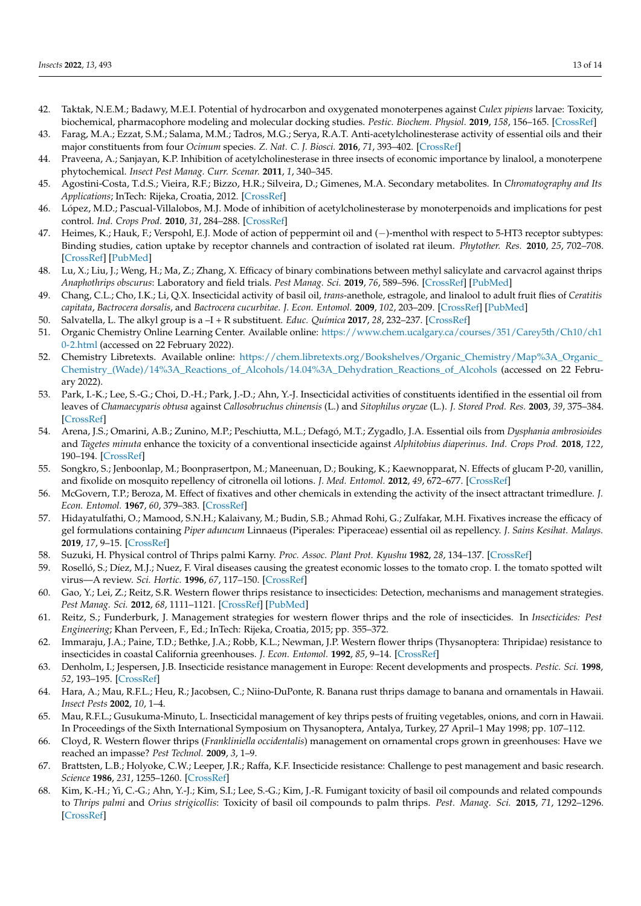- <span id="page-12-0"></span>42. Taktak, N.E.M.; Badawy, M.E.I. Potential of hydrocarbon and oxygenated monoterpenes against *Culex pipiens* larvae: Toxicity, biochemical, pharmacophore modeling and molecular docking studies. *Pestic. Biochem. Physiol.* **2019**, *158*, 156–165. [\[CrossRef\]](http://doi.org/10.1016/j.pestbp.2019.05.006)
- 43. Farag, M.A.; Ezzat, S.M.; Salama, M.M.; Tadros, M.G.; Serya, R.A.T. Anti-acetylcholinesterase activity of essential oils and their major constituents from four *Ocimum* species. *Z. Nat. C. J. Biosci.* **2016**, *71*, 393–402. [\[CrossRef\]](http://doi.org/10.1515/znc-2016-0030)
- <span id="page-12-1"></span>44. Praveena, A.; Sanjayan, K.P. Inhibition of acetylcholinesterase in three insects of economic importance by linalool, a monoterpene phytochemical. *Insect Pest Manag. Curr. Scenar.* **2011**, *1*, 340–345.
- <span id="page-12-2"></span>45. Agostini-Costa, T.d.S.; Vieira, R.F.; Bizzo, H.R.; Silveira, D.; Gimenes, M.A. Secondary metabolites. In *Chromatography and Its Applications*; InTech: Rijeka, Croatia, 2012. [\[CrossRef\]](http://doi.org/10.5772/35705)
- <span id="page-12-3"></span>46. López, M.D.; Pascual-Villalobos, M.J. Mode of inhibition of acetylcholinesterase by monoterpenoids and implications for pest control. *Ind. Crops Prod.* **2010**, *31*, 284–288. [\[CrossRef\]](http://doi.org/10.1016/j.indcrop.2009.11.005)
- <span id="page-12-4"></span>47. Heimes, K.; Hauk, F.; Verspohl, E.J. Mode of action of peppermint oil and (−)-menthol with respect to 5-HT3 receptor subtypes: Binding studies, cation uptake by receptor channels and contraction of isolated rat ileum. *Phytother. Res.* **2010**, *25*, 702–708. [\[CrossRef\]](http://doi.org/10.1002/ptr.3316) [\[PubMed\]](http://www.ncbi.nlm.nih.gov/pubmed/21077259)
- <span id="page-12-5"></span>48. Lu, X.; Liu, J.; Weng, H.; Ma, Z.; Zhang, X. Efficacy of binary combinations between methyl salicylate and carvacrol against thrips *Anaphothrips obscurus*: Laboratory and field trials. *Pest Manag. Sci.* **2019**, *76*, 589–596. [\[CrossRef\]](http://doi.org/10.1002/ps.5551) [\[PubMed\]](http://www.ncbi.nlm.nih.gov/pubmed/31297926)
- <span id="page-12-6"></span>49. Chang, C.L.; Cho, I.K.; Li, Q.X. Insecticidal activity of basil oil, *trans*-anethole, estragole, and linalool to adult fruit flies of *Ceratitis capitata*, *Bactrocera dorsalis*, and *Bactrocera cucurbitae*. *J. Econ. Entomol.* **2009**, *102*, 203–209. [\[CrossRef\]](http://doi.org/10.1603/029.102.0129) [\[PubMed\]](http://www.ncbi.nlm.nih.gov/pubmed/19253638)
- <span id="page-12-7"></span>50. Salvatella, L. The alkyl group is a –I + R substituent. *Educ. Química* **2017**, *28*, 232–237. [\[CrossRef\]](http://doi.org/10.1016/j.eq.2017.06.004)
- <span id="page-12-8"></span>51. Organic Chemistry Online Learning Center. Available online: [https://www.chem.ucalgary.ca/courses/351/Carey5th/Ch10/ch1](https://www.chem.ucalgary.ca/courses/351/Carey5th/Ch10/ch10-2.html) [0-2.html](https://www.chem.ucalgary.ca/courses/351/Carey5th/Ch10/ch10-2.html) (accessed on 22 February 2022).
- <span id="page-12-9"></span>52. Chemistry Libretexts. Available online: [https://chem.libretexts.org/Bookshelves/Organic\\_Chemistry/Map%3A\\_Organic\\_](https://chem.libretexts.org/Bookshelves/Organic_Chemistry/Map%3A_Organic_Chemistry_(Wade)/14%3A_Reactions_of_Alcohols/14.04%3A_Dehydration_Reactions_of_Alcohols) [Chemistry\\_\(Wade\)/14%3A\\_Reactions\\_of\\_Alcohols/14.04%3A\\_Dehydration\\_Reactions\\_of\\_Alcohols](https://chem.libretexts.org/Bookshelves/Organic_Chemistry/Map%3A_Organic_Chemistry_(Wade)/14%3A_Reactions_of_Alcohols/14.04%3A_Dehydration_Reactions_of_Alcohols) (accessed on 22 February 2022).
- <span id="page-12-10"></span>53. Park, I.-K.; Lee, S.-G.; Choi, D.-H.; Park, J.-D.; Ahn, Y.-J. Insecticidal activities of constituents identified in the essential oil from leaves of *Chamaecyparis obtusa* against *Callosobruchus chinensis* (L.) and *Sitophilus oryzae* (L.). *J. Stored Prod. Res.* **2003**, *39*, 375–384. [\[CrossRef\]](http://doi.org/10.1016/S0022-474X(02)00030-9)
- <span id="page-12-11"></span>54. Arena, J.S.; Omarini, A.B.; Zunino, M.P.; Peschiutta, M.L.; Defagó, M.T.; Zygadlo, J.A. Essential oils from *Dysphania ambrosioides* and *Tagetes minuta* enhance the toxicity of a conventional insecticide against *Alphitobius diaperinus*. *Ind. Crops Prod.* **2018**, *122*, 190–194. [\[CrossRef\]](http://doi.org/10.1016/j.indcrop.2018.05.077)
- <span id="page-12-12"></span>55. Songkro, S.; Jenboonlap, M.; Boonprasertpon, M.; Maneenuan, D.; Bouking, K.; Kaewnopparat, N. Effects of glucam P-20, vanillin, and fixolide on mosquito repellency of citronella oil lotions. *J. Med. Entomol.* **2012**, *49*, 672–677. [\[CrossRef\]](http://doi.org/10.1603/ME11141)
- <span id="page-12-13"></span>56. McGovern, T.P.; Beroza, M. Effect of fixatives and other chemicals in extending the activity of the insect attractant trimedlure. *J. Econ. Entomol.* **1967**, *60*, 379–383. [\[CrossRef\]](http://doi.org/10.1093/jee/60.2.379)
- <span id="page-12-14"></span>57. Hidayatulfathi, O.; Mamood, S.N.H.; Kalaivany, M.; Budin, S.B.; Ahmad Rohi, G.; Zulfakar, M.H. Fixatives increase the efficacy of gel formulations containing *Piper aduncum* Linnaeus (Piperales: Piperaceae) essential oil as repellency. *J. Sains Kesihat. Malays.* **2019**, *17*, 9–15. [\[CrossRef\]](http://doi.org/10.17576/jskm-2019-1701-02)
- <span id="page-12-15"></span>58. Suzuki, H. Physical control of Thrips palmi Karny. *Proc. Assoc. Plant Prot. Kyushu* **1982**, *28*, 134–137. [\[CrossRef\]](http://doi.org/10.4241/kyubyochu.28.134)
- <span id="page-12-19"></span>59. Roselló, S.; Díez, M.J.; Nuez, F. Viral diseases causing the greatest economic losses to the tomato crop. I. the tomato spotted wilt virus—A review. *Sci. Hortic.* **1996**, *67*, 117–150. [\[CrossRef\]](http://doi.org/10.1016/S0304-4238(96)00946-6)
- <span id="page-12-22"></span>60. Gao, Y.; Lei, Z.; Reitz, S.R. Western flower thrips resistance to insecticides: Detection, mechanisms and management strategies. *Pest Manag. Sci.* **2012**, *68*, 1111–1121. [\[CrossRef\]](http://doi.org/10.1002/ps.3305) [\[PubMed\]](http://www.ncbi.nlm.nih.gov/pubmed/22566175)
- 61. Reitz, S.; Funderburk, J. Management strategies for western flower thrips and the role of insecticides. In *Insecticides: Pest Engineering*; Khan Perveen, F., Ed.; InTech: Rijeka, Croatia, 2015; pp. 355–372.
- 62. Immaraju, J.A.; Paine, T.D.; Bethke, J.A.; Robb, K.L.; Newman, J.P. Western flower thrips (Thysanoptera: Thripidae) resistance to insecticides in coastal California greenhouses. *J. Econ. Entomol.* **1992**, *85*, 9–14. [\[CrossRef\]](http://doi.org/10.1093/jee/85.1.9)
- <span id="page-12-16"></span>63. Denholm, I.; Jespersen, J.B. Insecticide resistance management in Europe: Recent developments and prospects. *Pestic. Sci.* **1998**, *52*, 193–195. [\[CrossRef\]](http://doi.org/10.1002/(SICI)1096-9063(199802)52:2<193::AID-PS716>3.0.CO;2-C)
- <span id="page-12-17"></span>64. Hara, A.; Mau, R.F.L.; Heu, R.; Jacobsen, C.; Niino-DuPonte, R. Banana rust thrips damage to banana and ornamentals in Hawaii. *Insect Pests* **2002**, *10*, 1–4.
- <span id="page-12-18"></span>65. Mau, R.F.L.; Gusukuma-Minuto, L. Insecticidal management of key thrips pests of fruiting vegetables, onions, and corn in Hawaii. In Proceedings of the Sixth International Symposium on Thysanoptera, Antalya, Turkey, 27 April–1 May 1998; pp. 107–112.
- <span id="page-12-20"></span>66. Cloyd, R. Western flower thrips (*Frankliniella occidentalis*) management on ornamental crops grown in greenhouses: Have we reached an impasse? *Pest Technol.* **2009**, *3*, 1–9.
- <span id="page-12-21"></span>67. Brattsten, L.B.; Holyoke, C.W.; Leeper, J.R.; Raffa, K.F. Insecticide resistance: Challenge to pest management and basic research. *Science* **1986**, *231*, 1255–1260. [\[CrossRef\]](http://doi.org/10.1126/science.231.4743.1255)
- <span id="page-12-23"></span>68. Kim, K.-H.; Yi, C.-G.; Ahn, Y.-J.; Kim, S.I.; Lee, S.-G.; Kim, J.-R. Fumigant toxicity of basil oil compounds and related compounds to *Thrips palmi* and *Orius strigicollis*: Toxicity of basil oil compounds to palm thrips. *Pest. Manag. Sci.* **2015**, *71*, 1292–1296. [\[CrossRef\]](http://doi.org/10.1002/ps.3925)